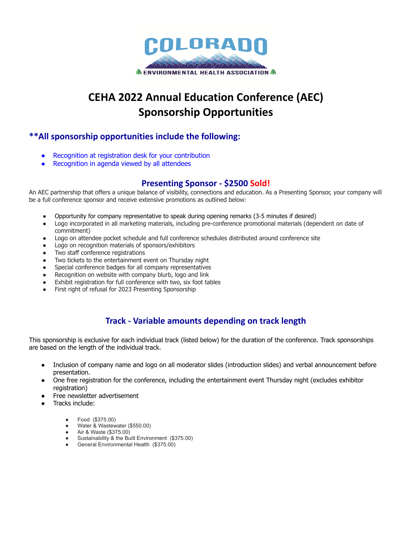

# **CEHA 2022 Annual Education Conference (AEC) Sponsorship Opportunities**

### **\*\*All sponsorship opportunities include the following:**

- Recognition at registration desk for your contribution
- Recognition in agenda viewed by all attendees

#### **Presenting Sponsor - \$2500 Sold!**

An AEC partnership that offers a unique balance of visibility, connections and education. As a Presenting Sponsor, your company will be a full conference sponsor and receive extensive promotions as outlined below:

- Opportunity for company representative to speak during opening remarks (3-5 minutes if desired)
- Logo incorporated in all marketing materials, including pre-conference promotional materials (dependent on date of commitment)
- Logo on attendee pocket schedule and full conference schedules distributed around conference site
- Logo on recognition materials of sponsors/exhibitors
- Two staff conference registrations
- Two tickets to the entertainment event on Thursday night
- Special conference badges for all company representatives
- Recognition on website with company blurb, logo and link
- Exhibit registration for full conference with two, six foot tables
- First right of refusal for 2023 Presenting Sponsorship

## **Track - Variable amounts depending on track length**

This sponsorship is exclusive for each individual track (listed below) for the duration of the conference. Track sponsorships are based on the length of the individual track.

- Inclusion of company name and logo on all moderator slides (introduction slides) and verbal announcement before presentation.
- One free registration for the conference, including the entertainment event Thursday night (excludes exhibitor registration)
- Free newsletter advertisement
- Tracks include:
	- Food (\$375.00)
	- Water & Wastewater (\$550.00)
	- Air & Waste (\$375.00)
	- Sustainability & the Built Environment (\$375.00)
	- General Environmental Health (\$375.00)